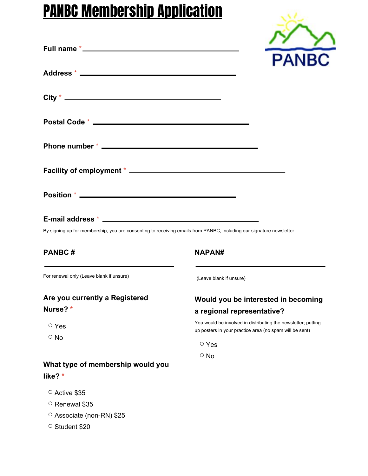## PANBC Membership Application

| <b>PANBC</b> |  |
|--------------|--|

|                                                                                                                     | <b>PANBC</b>                                                                                                             |
|---------------------------------------------------------------------------------------------------------------------|--------------------------------------------------------------------------------------------------------------------------|
|                                                                                                                     |                                                                                                                          |
| $City *$                                                                                                            |                                                                                                                          |
|                                                                                                                     |                                                                                                                          |
|                                                                                                                     |                                                                                                                          |
|                                                                                                                     |                                                                                                                          |
|                                                                                                                     |                                                                                                                          |
|                                                                                                                     |                                                                                                                          |
| By signing up for membership, you are consenting to receiving emails from PANBC, including our signature newsletter |                                                                                                                          |
| <b>PANBC#</b>                                                                                                       | <b>NAPAN#</b>                                                                                                            |
| <u> 1989 - Johann Barnett, fransk politiker (d. 1989)</u><br>For renewal only (Leave blank if unsure)               | <u> 1989 - Johann Barn, amerikansk politiker (d. 1989)</u><br>(Leave blank if unsure)                                    |
| Are you currently a Registered                                                                                      | Would you be interested in becoming                                                                                      |
| Nurse?*                                                                                                             | a regional representative?                                                                                               |
| $\circ$ Yes                                                                                                         | You would be involved in distributing the newsletter; putting<br>up posters in your practice area (no spam will be sent) |
| $\circ$ No                                                                                                          | $\circ$ Yes                                                                                                              |
|                                                                                                                     | $\circ$ No                                                                                                               |
| What type of membership would you                                                                                   |                                                                                                                          |
| like?*                                                                                                              |                                                                                                                          |
| ○ Active \$35                                                                                                       |                                                                                                                          |
| O Renewal \$35                                                                                                      |                                                                                                                          |
| $\circ$ Associate (non-RN) \$25                                                                                     |                                                                                                                          |
| ○ Student \$20                                                                                                      |                                                                                                                          |